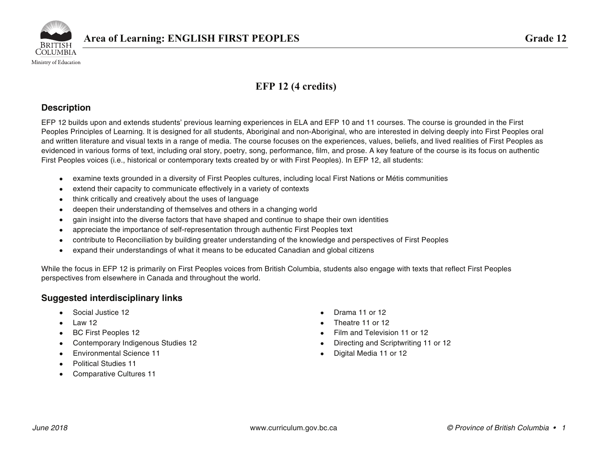

## **EFP 12 (4 credits)**

### **Description**

EFP 12 builds upon and extends students' previous learning experiences in ELA and EFP 10 and 11 courses. The course is grounded in the First Peoples Principles of Learning. It is designed for all students, Aboriginal and non-Aboriginal, who are interested in delving deeply into First Peoples oral and written literature and visual texts in a range of media. The course focuses on the experiences, values, beliefs, and lived realities of First Peoples as evidenced in various forms of text, including oral story, poetry, song, performance, film, and prose. A key feature of the course is its focus on authentic First Peoples voices (i.e., historical or contemporary texts created by or with First Peoples). In EFP 12, all students:

- •examine texts grounded in a diversity of First Peoples cultures, including local First Nations or Métis communities
- •extend their capacity to communicate effectively in a variety of contexts
- •think critically and creatively about the uses of language
- •deepen their understanding of themselves and others in a changing world
- •gain insight into the diverse factors that have shaped and continue to shape their own identities
- •appreciate the importance of self-representation through authentic First Peoples text
- •contribute to Reconciliation by building greater understanding of the knowledge and perspectives of First Peoples
- •expand their understandings of what it means to be educated Canadian and global citizens

While the focus in EFP 12 is primarily on First Peoples voices from British Columbia, students also engage with texts that reflect First Peoples perspectives from elsewhere in Canada and throughout the world.

### **Suggested interdisciplinary links**

- •Social Justice 12
- •Law 12
- BC First Peoples 12
- •Contemporary Indigenous Studies 12
- •Environmental Science 11
- •Political Studies 11
- •Comparative Cultures 11
- •Drama 11 or 12
- Theatre 11 or 12
- •Film and Television 11 or 12
- Directing and Scriptwriting 11 or 12
- •Digital Media 11 or 12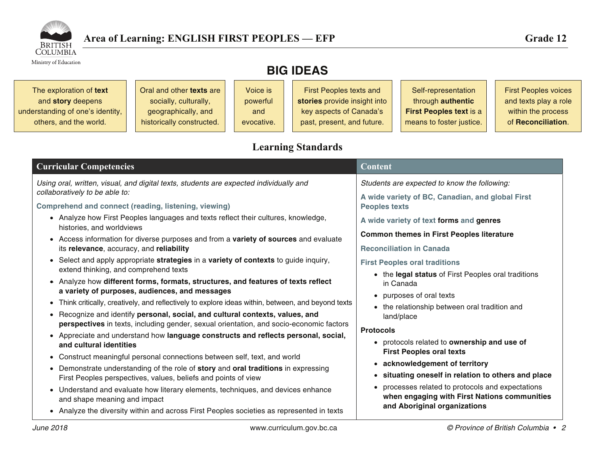

Ministry of Education

# **BIG IDEAS**

| The exploration of text          | Oral and other <b>texts</b> are | Voice is   | <b>First Peoples texts and</b> | Self-representation            | <b>First Peoples voices</b> |
|----------------------------------|---------------------------------|------------|--------------------------------|--------------------------------|-----------------------------|
| and story deepens                | socially, culturally,           | powerful   | stories provide insight into   | through authentic              | and texts play a role       |
| understanding of one's identity, | geographically, and             | and        | key aspects of Canada's        | <b>First Peoples text is a</b> | within the process          |
| others, and the world.           | historically constructed.       | evocative. | past, present, and future.     | means to foster justice.       | of Reconciliation.          |
|                                  |                                 |            |                                |                                |                             |

## **Learning Standards**

| <b>Curricular Competencies</b>                                                                                                                                                                                                                                                                                                                                                                                                                                                                                                                                      | <b>Content</b>                                                                                                                                                                                                                                                                                             |  |  |
|---------------------------------------------------------------------------------------------------------------------------------------------------------------------------------------------------------------------------------------------------------------------------------------------------------------------------------------------------------------------------------------------------------------------------------------------------------------------------------------------------------------------------------------------------------------------|------------------------------------------------------------------------------------------------------------------------------------------------------------------------------------------------------------------------------------------------------------------------------------------------------------|--|--|
| Using oral, written, visual, and digital texts, students are expected individually and<br>collaboratively to be able to:                                                                                                                                                                                                                                                                                                                                                                                                                                            | Students are expected to know the following:<br>A wide variety of BC, Canadian, and global First                                                                                                                                                                                                           |  |  |
| <b>Comprehend and connect (reading, listening, viewing)</b><br>• Analyze how First Peoples languages and texts reflect their cultures, knowledge,<br>histories, and worldviews<br>• Access information for diverse purposes and from a variety of sources and evaluate<br>its relevance, accuracy, and reliability                                                                                                                                                                                                                                                  | <b>Peoples texts</b><br>A wide variety of text forms and genres<br><b>Common themes in First Peoples literature</b><br><b>Reconciliation in Canada</b>                                                                                                                                                     |  |  |
| • Select and apply appropriate strategies in a variety of contexts to guide inquiry,<br>extend thinking, and comprehend texts<br>• Analyze how different forms, formats, structures, and features of texts reflect<br>a variety of purposes, audiences, and messages<br>• Think critically, creatively, and reflectively to explore ideas within, between, and beyond texts<br>• Recognize and identify personal, social, and cultural contexts, values, and<br>perspectives in texts, including gender, sexual orientation, and socio-economic factors             | <b>First Peoples oral traditions</b><br>• the legal status of First Peoples oral traditions<br>in Canada                                                                                                                                                                                                   |  |  |
|                                                                                                                                                                                                                                                                                                                                                                                                                                                                                                                                                                     | • purposes of oral texts<br>• the relationship between oral tradition and<br>land/place<br><b>Protocols</b>                                                                                                                                                                                                |  |  |
| • Appreciate and understand how language constructs and reflects personal, social,<br>and cultural identities<br>• Construct meaningful personal connections between self, text, and world<br>• Demonstrate understanding of the role of story and oral traditions in expressing<br>First Peoples perspectives, values, beliefs and points of view<br>• Understand and evaluate how literary elements, techniques, and devices enhance<br>and shape meaning and impact<br>• Analyze the diversity within and across First Peoples societies as represented in texts | • protocols related to ownership and use of<br><b>First Peoples oral texts</b><br>• acknowledgement of territory<br>• situating oneself in relation to others and place<br>processes related to protocols and expectations<br>when engaging with First Nations communities<br>and Aboriginal organizations |  |  |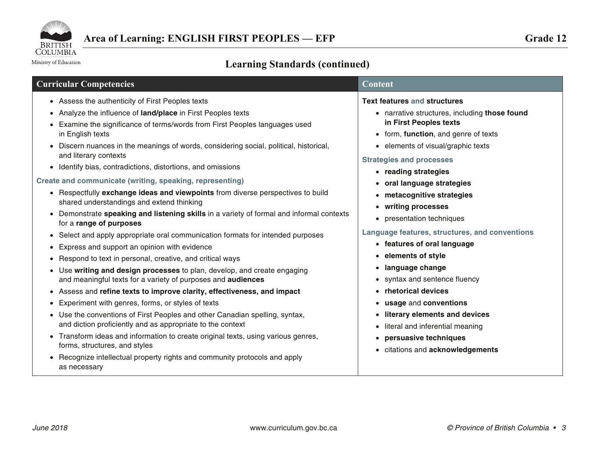

Ministry of Education

# **Learning Standards (continued)**

| <b>Curricular Competencies</b>                                                                                                                                                                                                                                                                                                                                                                                                                                                                                                                                                                                                                                                                                                                                                                                                                                                                                                                                                                                                                                                                                                                                                                                                                                                                                                                                                                                                                                                                                                                                                                                         | $\overline{\text{Con}}$ tent                                                                                                                                                                                                                                                                                                                                                                                                                                                                                                                                                                                                                                                                                                             |
|------------------------------------------------------------------------------------------------------------------------------------------------------------------------------------------------------------------------------------------------------------------------------------------------------------------------------------------------------------------------------------------------------------------------------------------------------------------------------------------------------------------------------------------------------------------------------------------------------------------------------------------------------------------------------------------------------------------------------------------------------------------------------------------------------------------------------------------------------------------------------------------------------------------------------------------------------------------------------------------------------------------------------------------------------------------------------------------------------------------------------------------------------------------------------------------------------------------------------------------------------------------------------------------------------------------------------------------------------------------------------------------------------------------------------------------------------------------------------------------------------------------------------------------------------------------------------------------------------------------------|------------------------------------------------------------------------------------------------------------------------------------------------------------------------------------------------------------------------------------------------------------------------------------------------------------------------------------------------------------------------------------------------------------------------------------------------------------------------------------------------------------------------------------------------------------------------------------------------------------------------------------------------------------------------------------------------------------------------------------------|
| • Assess the authenticity of First Peoples texts<br>• Analyze the influence of land/place in First Peoples texts<br>• Examine the significance of terms/words from First Peoples languages used<br>in English texts<br>• Discern nuances in the meanings of words, considering social, political, historical,<br>and literary contexts<br>• Identify bias, contradictions, distortions, and omissions<br>Create and communicate (writing, speaking, representing)<br>• Respectfully exchange ideas and viewpoints from diverse perspectives to build<br>shared understandings and extend thinking<br>• Demonstrate speaking and listening skills in a variety of formal and informal contexts<br>for a range of purposes<br>• Select and apply appropriate oral communication formats for intended purposes<br>Express and support an opinion with evidence<br>$\bullet$<br>Respond to text in personal, creative, and critical ways<br>$\bullet$<br>• Use writing and design processes to plan, develop, and create engaging<br>and meaningful texts for a variety of purposes and audiences<br>Assess and refine texts to improve clarity, effectiveness, and impact<br>$\bullet$<br>Experiment with genres, forms, or styles of texts<br>$\bullet$<br>• Use the conventions of First Peoples and other Canadian spelling, syntax,<br>and diction proficiently and as appropriate to the context<br>• Transform ideas and information to create original texts, using various genres,<br>forms, structures, and styles<br>• Recognize intellectual property rights and community protocols and apply<br>as necessary | <b>Text features and structures</b><br>• narrative structures, including those found<br>in First Peoples texts<br>• form, function, and genre of texts<br>• elements of visual/graphic texts<br><b>Strategies and processes</b><br>• reading strategies<br>• oral language strategies<br>• metacognitive strategies<br>• writing processes<br>• presentation techniques<br>Language features, structures, and conventions<br>• features of oral language<br>• elements of style<br>• language change<br>• syntax and sentence fluency<br>• rhetorical devices<br>• usage and conventions<br>• literary elements and devices<br>literal and inferential meaning<br>$\bullet$<br>persuasive techniques<br>• citations and acknowledgements |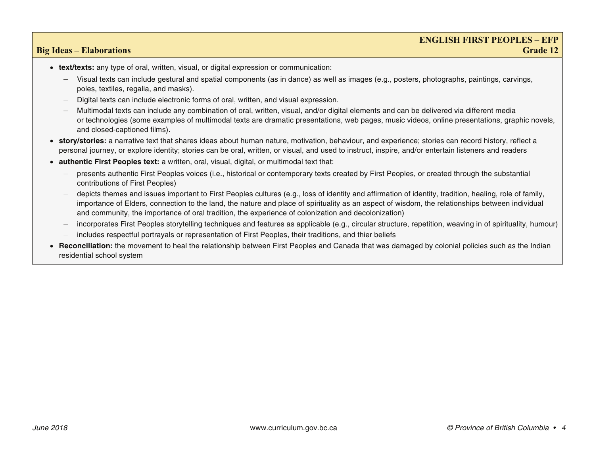### **ENGLISH FIRST PEOPLES – EFP Big Ideas – Elaborations** Grade 12

- **text/texts:** any type of oral, written, visual, or digital expression or communication:
	- Visual texts can include gestural and spatial components (as in dance) as well as images (e.g., posters, photographs, paintings, carvings, poles, textiles, regalia, and masks).
	- —Digital texts can include electronic forms of oral, written, and visual expression.
	- Multimodal texts can include any combination of oral, written, visual, and/or digital elements and can be delivered via different media or technologies (some examples of multimodal texts are dramatic presentations, web pages, music videos, online presentations, graphic novels, and closed-captioned films).
- **story/stories:** a narrative text that shares ideas about human nature, motivation, behaviour, and experience; stories can record history, reflect a personal journey, or explore identity; stories can be oral, written, or visual, and used to instruct, inspire, and/or entertain listeners and readers
- **authentic First Peoples text:** a written, oral, visual, digital, or multimodal text that:
	- presents authentic First Peoples voices (i.e., historical or contemporary texts created by First Peoples, or created through the substantial contributions of First Peoples)
	- depicts themes and issues important to First Peoples cultures (e.g., loss of identity and affirmation of identity, tradition, healing, role of family, importance of Elders, connection to the land, the nature and place of spirituality as an aspect of wisdom, the relationships between individual and community, the importance of oral tradition, the experience of colonization and decolonization)
	- incorporates First Peoples storytelling techniques and features as applicable (e.g., circular structure, repetition, weaving in of spirituality, humour)
	- includes respectful portrayals or representation of First Peoples, their traditions, and thier beliefs
- • **Reconciliation:** the movement to heal the relationship between First Peoples and Canada that was damaged by colonial policies such as the Indian residential school system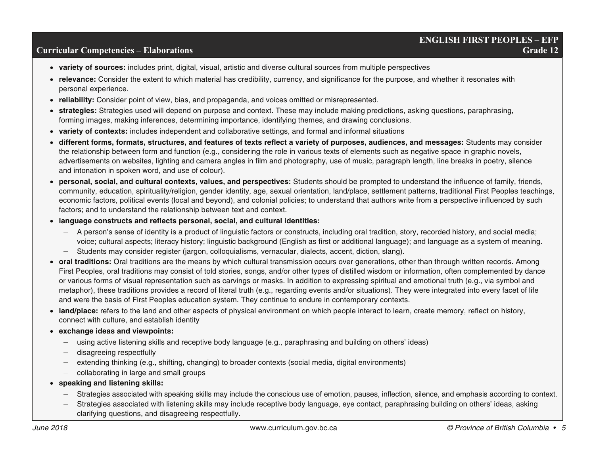# **ENGLISH FIRST PEOPLES – EFP**

### **Curricular Competencies – Elaborations Grade 12 Grade 12 Grade 12 Grade 12**

- **variety of sources:** includes print, digital, visual, artistic and diverse cultural sources from multiple perspectives
- **relevance:** Consider the extent to which material has credibility, currency, and significance for the purpose, and whether it resonates with personal experience.
- **reliability:** Consider point of view, bias, and propaganda, and voices omitted or misrepresented.
- **strategies:** Strategies used will depend on purpose and context. These may include making predictions, asking questions, paraphrasing, forming images, making inferences, determining importance, identifying themes, and drawing conclusions.
- **variety of contexts:** includes independent and collaborative settings, and formal and informal situations
- **different forms, formats, structures, and features of texts reflect a variety of purposes, audiences, and messages:** Students may consider the relationship between form and function (e.g., considering the role in various texts of elements such as negative space in graphic novels, advertisements on websites, lighting and camera angles in film and photography, use of music, paragraph length, line breaks in poetry, silence and intonation in spoken word, and use of colour).
- **personal, social, and cultural contexts, values, and perspectives:** Students should be prompted to understand the influence of family, friends, community, education, spirituality/religion, gender identity, age, sexual orientation, land/place, settlement patterns, traditional First Peoples teachings, economic factors, political events (local and beyond), and colonial policies; to understand that authors write from a perspective influenced by such factors; and to understand the relationship between text and context.
- **language constructs and reflects personal, social, and cultural identities:** 
	- A person's sense of identity is a product of linguistic factors or constructs, including oral tradition, story, recorded history, and social media; voice; cultural aspects; literacy history; linguistic background (English as first or additional language); and language as a system of meaning.
	- Students may consider register (jargon, colloquialisms, vernacular, dialects, accent, diction, slang).
- **oral traditions:** Oral traditions are the means by which cultural transmission occurs over generations, other than through written records. Among First Peoples, oral traditions may consist of told stories, songs, and/or other types of distilled wisdom or information, often complemented by dance or various forms of visual representation such as carvings or masks. In addition to expressing spiritual and emotional truth (e.g., via symbol and metaphor), these traditions provides a record of literal truth (e.g., regarding events and/or situations). They were integrated into every facet of life and were the basis of First Peoples education system. They continue to endure in contemporary contexts.
- **land/place:** refers to the land and other aspects of physical environment on which people interact to learn, create memory, reflect on history, connect with culture, and establish identity
- **exchange ideas and viewpoints:** 
	- using active listening skills and receptive body language (e.g., paraphrasing and building on others' ideas)
	- disagreeing respectfully
	- extending thinking (e.g., shifting, changing) to broader contexts (social media, digital environments)
	- collaborating in large and small groups
- **speaking and listening skills:** 
	- —Strategies associated with speaking skills may include the conscious use of emotion, pauses, inflection, silence, and emphasis according to context.
	- — Strategies associated with listening skills may include receptive body language, eye contact, paraphrasing building on others' ideas, asking clarifying questions, and disagreeing respectfully.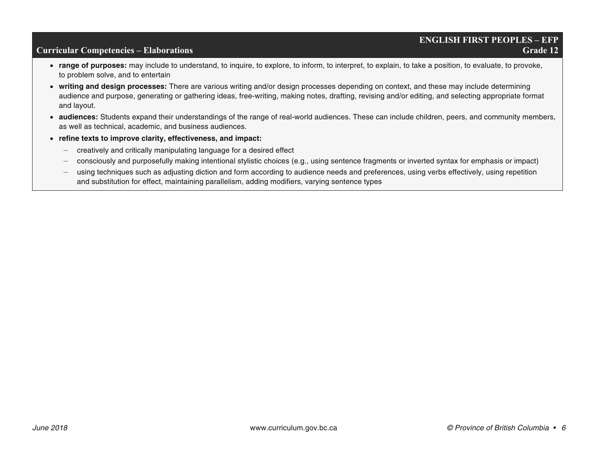# **ENGLISH FIRST PEOPLES – EFP**

### **Curricular Competencies – Elaborations Grade 12 Grade 12 Grade 12**

- **range of purposes:** may include to understand, to inquire, to explore, to inform, to interpret, to explain, to take a position, to evaluate, to provoke, to problem solve, and to entertain
- **writing and design processes:** There are various writing and/or design processes depending on context, and these may include determining audience and purpose, generating or gathering ideas, free-writing, making notes, drafting, revising and/or editing, and selecting appropriate format and layout.
- **audiences:** Students expand their understandings of the range of real-world audiences. These can include children, peers, and community members, as well as technical, academic, and business audiences.
- **refine texts to improve clarity, effectiveness, and impact:** 
	- creatively and critically manipulating language for a desired effect
	- consciously and purposefully making intentional stylistic choices (e.g., using sentence fragments or inverted syntax for emphasis or impact)
	- using techniques such as adjusting diction and form according to audience needs and preferences, using verbs effectively, using repetition and substitution for effect, maintaining parallelism, adding modifiers, varying sentence types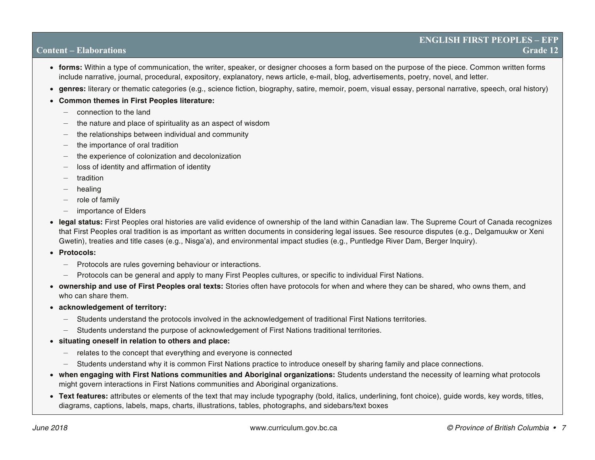- **forms:** Within a type of communication, the writer, speaker, or designer chooses a form based on the purpose of the piece. Common written forms include narrative, journal, procedural, expository, explanatory, news article, e-mail, blog, advertisements, poetry, novel, and letter.
- **genres:** literary or thematic categories (e.g., science fiction, biography, satire, memoir, poem, visual essay, personal narrative, speech, oral history)
- **Common themes in First Peoples literature:** 
	- connection to the land
	- the nature and place of spirituality as an aspect of wisdom
	- the relationships between individual and community
	- the importance of oral tradition
	- the experience of colonization and decolonization
	- loss of identity and affirmation of identity
	- tradition
	- healing
	- role of family
	- importance of Elders
- **legal status:** First Peoples oral histories are valid evidence of ownership of the land within Canadian law. The Supreme Court of Canada recognizes that First Peoples oral tradition is as important as written documents in considering legal issues. See resource disputes (e.g., Delgamuukw or Xeni Gwetin), treaties and title cases (e.g., Nisga'a), and environmental impact studies (e.g., Puntledge River Dam, Berger Inquiry).
- **Protocols:** 
	- Protocols are rules governing behaviour or interactions.
	- Protocols can be general and apply to many First Peoples cultures, or specific to individual First Nations.
- **ownership and use of First Peoples oral texts:** Stories often have protocols for when and where they can be shared, who owns them, and who can share them.
- **acknowledgement of territory:** 
	- Students understand the protocols involved in the acknowledgement of traditional First Nations territories.
	- Students understand the purpose of acknowledgement of First Nations traditional territories.
- **situating oneself in relation to others and place:** 
	- relates to the concept that everything and everyone is connected
	- —Students understand why it is common First Nations practice to introduce oneself by sharing family and place connections.
- **when engaging with First Nations communities and Aboriginal organizations:** Students understand the necessity of learning what protocols might govern interactions in First Nations communities and Aboriginal organizations.
- **Text features:** attributes or elements of the text that may include typography (bold, italics, underlining, font choice), guide words, key words, titles, diagrams, captions, labels, maps, charts, illustrations, tables, photographs, and sidebars/text boxes